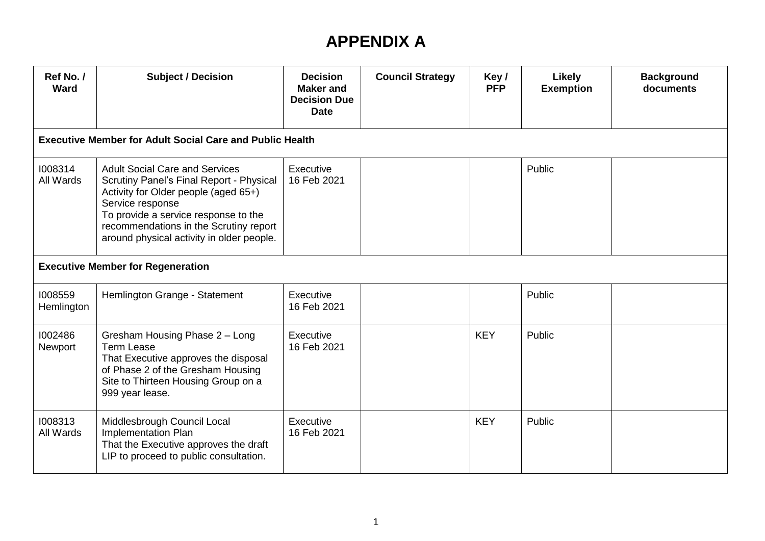## **APPENDIX A**

| Ref No. /<br>Ward                        | <b>Subject / Decision</b>                                                                                                                                                                                                                                                    | <b>Decision</b><br><b>Maker and</b><br><b>Decision Due</b><br><b>Date</b> | <b>Council Strategy</b> | Key/<br><b>PFP</b> | Likely<br><b>Exemption</b> | <b>Background</b><br>documents |  |  |  |
|------------------------------------------|------------------------------------------------------------------------------------------------------------------------------------------------------------------------------------------------------------------------------------------------------------------------------|---------------------------------------------------------------------------|-------------------------|--------------------|----------------------------|--------------------------------|--|--|--|
|                                          | <b>Executive Member for Adult Social Care and Public Health</b>                                                                                                                                                                                                              |                                                                           |                         |                    |                            |                                |  |  |  |
| 1008314<br>All Wards                     | <b>Adult Social Care and Services</b><br>Scrutiny Panel's Final Report - Physical<br>Activity for Older people (aged 65+)<br>Service response<br>To provide a service response to the<br>recommendations in the Scrutiny report<br>around physical activity in older people. | Executive<br>16 Feb 2021                                                  |                         |                    | Public                     |                                |  |  |  |
| <b>Executive Member for Regeneration</b> |                                                                                                                                                                                                                                                                              |                                                                           |                         |                    |                            |                                |  |  |  |
| 1008559<br>Hemlington                    | Hemlington Grange - Statement                                                                                                                                                                                                                                                | Executive<br>16 Feb 2021                                                  |                         |                    | Public                     |                                |  |  |  |
| 1002486<br>Newport                       | Gresham Housing Phase 2 - Long<br><b>Term Lease</b><br>That Executive approves the disposal<br>of Phase 2 of the Gresham Housing<br>Site to Thirteen Housing Group on a<br>999 year lease.                                                                                   | Executive<br>16 Feb 2021                                                  |                         | <b>KEY</b>         | Public                     |                                |  |  |  |
| 1008313<br>All Wards                     | Middlesbrough Council Local<br>Implementation Plan<br>That the Executive approves the draft<br>LIP to proceed to public consultation.                                                                                                                                        | Executive<br>16 Feb 2021                                                  |                         | <b>KEY</b>         | Public                     |                                |  |  |  |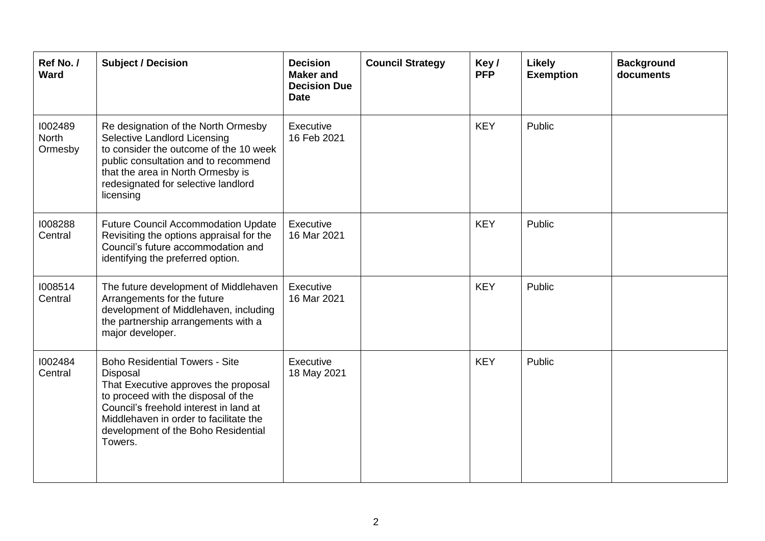| Ref No./<br>Ward            | <b>Subject / Decision</b>                                                                                                                                                                                                                                              | <b>Decision</b><br><b>Maker</b> and<br><b>Decision Due</b><br><b>Date</b> | <b>Council Strategy</b> | Key/<br><b>PFP</b> | Likely<br><b>Exemption</b> | <b>Background</b><br>documents |
|-----------------------------|------------------------------------------------------------------------------------------------------------------------------------------------------------------------------------------------------------------------------------------------------------------------|---------------------------------------------------------------------------|-------------------------|--------------------|----------------------------|--------------------------------|
| 1002489<br>North<br>Ormesby | Re designation of the North Ormesby<br>Selective Landlord Licensing<br>to consider the outcome of the 10 week<br>public consultation and to recommend<br>that the area in North Ormesby is<br>redesignated for selective landlord<br>licensing                         | Executive<br>16 Feb 2021                                                  |                         | <b>KEY</b>         | Public                     |                                |
| 1008288<br>Central          | <b>Future Council Accommodation Update</b><br>Revisiting the options appraisal for the<br>Council's future accommodation and<br>identifying the preferred option.                                                                                                      | Executive<br>16 Mar 2021                                                  |                         | <b>KEY</b>         | Public                     |                                |
| 1008514<br>Central          | The future development of Middlehaven<br>Arrangements for the future<br>development of Middlehaven, including<br>the partnership arrangements with a<br>major developer.                                                                                               | Executive<br>16 Mar 2021                                                  |                         | <b>KEY</b>         | Public                     |                                |
| 1002484<br>Central          | <b>Boho Residential Towers - Site</b><br>Disposal<br>That Executive approves the proposal<br>to proceed with the disposal of the<br>Council's freehold interest in land at<br>Middlehaven in order to facilitate the<br>development of the Boho Residential<br>Towers. | Executive<br>18 May 2021                                                  |                         | <b>KEY</b>         | Public                     |                                |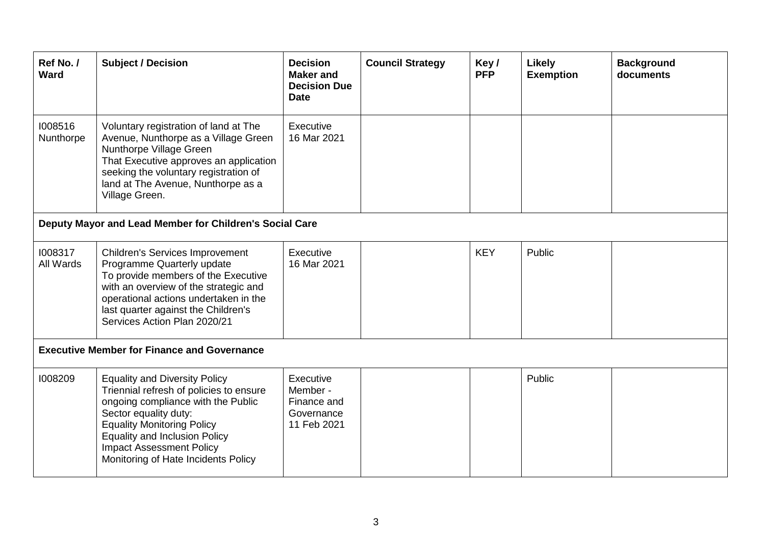| Ref No./<br><b>Ward</b>                            | <b>Subject / Decision</b>                                                                                                                                                                                                                                                                             | <b>Decision</b><br><b>Maker and</b><br><b>Decision Due</b><br><b>Date</b> | <b>Council Strategy</b> | Key/<br><b>PFP</b> | <b>Likely</b><br><b>Exemption</b> | <b>Background</b><br>documents |  |  |
|----------------------------------------------------|-------------------------------------------------------------------------------------------------------------------------------------------------------------------------------------------------------------------------------------------------------------------------------------------------------|---------------------------------------------------------------------------|-------------------------|--------------------|-----------------------------------|--------------------------------|--|--|
| 1008516<br>Nunthorpe                               | Voluntary registration of land at The<br>Avenue, Nunthorpe as a Village Green<br>Nunthorpe Village Green<br>That Executive approves an application<br>seeking the voluntary registration of<br>land at The Avenue, Nunthorpe as a<br>Village Green.                                                   | Executive<br>16 Mar 2021                                                  |                         |                    |                                   |                                |  |  |
|                                                    | Deputy Mayor and Lead Member for Children's Social Care                                                                                                                                                                                                                                               |                                                                           |                         |                    |                                   |                                |  |  |
| 1008317<br>All Wards                               | <b>Children's Services Improvement</b><br>Programme Quarterly update<br>To provide members of the Executive<br>with an overview of the strategic and<br>operational actions undertaken in the<br>last quarter against the Children's<br>Services Action Plan 2020/21                                  | Executive<br>16 Mar 2021                                                  |                         | <b>KEY</b>         | Public                            |                                |  |  |
| <b>Executive Member for Finance and Governance</b> |                                                                                                                                                                                                                                                                                                       |                                                                           |                         |                    |                                   |                                |  |  |
| 1008209                                            | <b>Equality and Diversity Policy</b><br>Triennial refresh of policies to ensure<br>ongoing compliance with the Public<br>Sector equality duty:<br><b>Equality Monitoring Policy</b><br><b>Equality and Inclusion Policy</b><br><b>Impact Assessment Policy</b><br>Monitoring of Hate Incidents Policy | Executive<br>Member -<br>Finance and<br>Governance<br>11 Feb 2021         |                         |                    | Public                            |                                |  |  |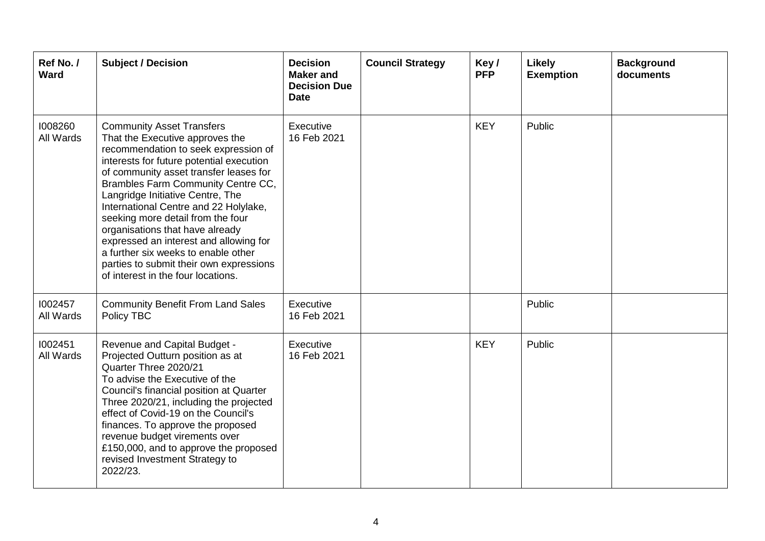| Ref No./<br><b>Ward</b> | <b>Subject / Decision</b>                                                                                                                                                                                                                                                                                                                                                                                                                                                                                                                                      | <b>Decision</b><br><b>Maker</b> and<br><b>Decision Due</b><br><b>Date</b> | <b>Council Strategy</b> | Key/<br><b>PFP</b> | <b>Likely</b><br><b>Exemption</b> | <b>Background</b><br>documents |
|-------------------------|----------------------------------------------------------------------------------------------------------------------------------------------------------------------------------------------------------------------------------------------------------------------------------------------------------------------------------------------------------------------------------------------------------------------------------------------------------------------------------------------------------------------------------------------------------------|---------------------------------------------------------------------------|-------------------------|--------------------|-----------------------------------|--------------------------------|
| 1008260<br>All Wards    | <b>Community Asset Transfers</b><br>That the Executive approves the<br>recommendation to seek expression of<br>interests for future potential execution<br>of community asset transfer leases for<br>Brambles Farm Community Centre CC,<br>Langridge Initiative Centre, The<br>International Centre and 22 Holylake,<br>seeking more detail from the four<br>organisations that have already<br>expressed an interest and allowing for<br>a further six weeks to enable other<br>parties to submit their own expressions<br>of interest in the four locations. | Executive<br>16 Feb 2021                                                  |                         | <b>KEY</b>         | Public                            |                                |
| 1002457<br>All Wards    | <b>Community Benefit From Land Sales</b><br>Policy TBC                                                                                                                                                                                                                                                                                                                                                                                                                                                                                                         | Executive<br>16 Feb 2021                                                  |                         |                    | Public                            |                                |
| 1002451<br>All Wards    | Revenue and Capital Budget -<br>Projected Outturn position as at<br>Quarter Three 2020/21<br>To advise the Executive of the<br>Council's financial position at Quarter<br>Three 2020/21, including the projected<br>effect of Covid-19 on the Council's<br>finances. To approve the proposed<br>revenue budget virements over<br>£150,000, and to approve the proposed<br>revised Investment Strategy to<br>2022/23.                                                                                                                                           | Executive<br>16 Feb 2021                                                  |                         | <b>KEY</b>         | Public                            |                                |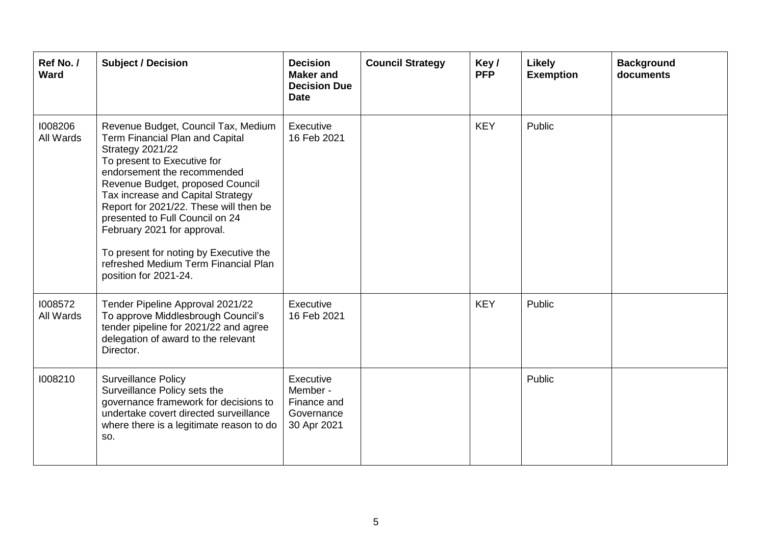| Ref No./<br><b>Ward</b> | <b>Subject / Decision</b>                                                                                                                                                                                                                                                                                                                                                                                                                                | <b>Decision</b><br><b>Maker</b> and<br><b>Decision Due</b><br><b>Date</b> | <b>Council Strategy</b> | Key/<br><b>PFP</b> | <b>Likely</b><br><b>Exemption</b> | <b>Background</b><br>documents |
|-------------------------|----------------------------------------------------------------------------------------------------------------------------------------------------------------------------------------------------------------------------------------------------------------------------------------------------------------------------------------------------------------------------------------------------------------------------------------------------------|---------------------------------------------------------------------------|-------------------------|--------------------|-----------------------------------|--------------------------------|
| 1008206<br>All Wards    | Revenue Budget, Council Tax, Medium<br>Term Financial Plan and Capital<br>Strategy 2021/22<br>To present to Executive for<br>endorsement the recommended<br>Revenue Budget, proposed Council<br>Tax increase and Capital Strategy<br>Report for 2021/22. These will then be<br>presented to Full Council on 24<br>February 2021 for approval.<br>To present for noting by Executive the<br>refreshed Medium Term Financial Plan<br>position for 2021-24. | Executive<br>16 Feb 2021                                                  |                         | <b>KEY</b>         | Public                            |                                |
| 1008572<br>All Wards    | Tender Pipeline Approval 2021/22<br>To approve Middlesbrough Council's<br>tender pipeline for 2021/22 and agree<br>delegation of award to the relevant<br>Director.                                                                                                                                                                                                                                                                                      | Executive<br>16 Feb 2021                                                  |                         | <b>KEY</b>         | Public                            |                                |
| 1008210                 | <b>Surveillance Policy</b><br>Surveillance Policy sets the<br>governance framework for decisions to<br>undertake covert directed surveillance<br>where there is a legitimate reason to do<br>SO.                                                                                                                                                                                                                                                         | Executive<br>Member -<br>Finance and<br>Governance<br>30 Apr 2021         |                         |                    | Public                            |                                |